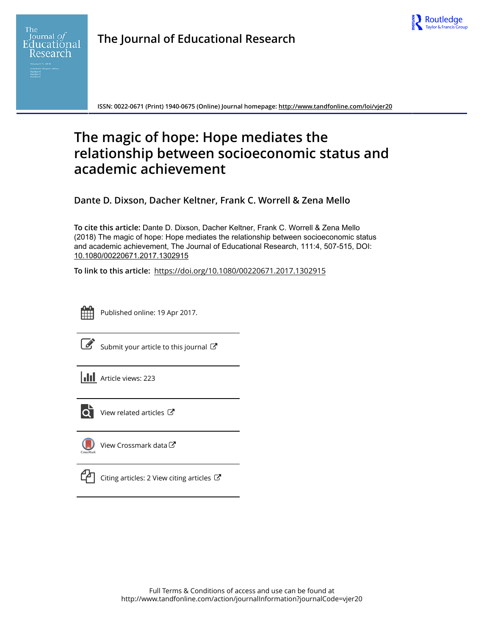

**The Journal of Educational Research**

**ISSN: 0022-0671 (Print) 1940-0675 (Online) Journal homepage:<http://www.tandfonline.com/loi/vjer20>**

# **The magic of hope: Hope mediates the relationship between socioeconomic status and academic achievement**

**Dante D. Dixson, Dacher Keltner, Frank C. Worrell & Zena Mello**

**To cite this article:** Dante D. Dixson, Dacher Keltner, Frank C. Worrell & Zena Mello (2018) The magic of hope: Hope mediates the relationship between socioeconomic status and academic achievement, The Journal of Educational Research, 111:4, 507-515, DOI: [10.1080/00220671.2017.1302915](http://www.tandfonline.com/action/showCitFormats?doi=10.1080/00220671.2017.1302915)

**To link to this article:** <https://doi.org/10.1080/00220671.2017.1302915>



Published online: 19 Apr 2017.

[Submit your article to this journal](http://www.tandfonline.com/action/authorSubmission?journalCode=vjer20&show=instructions)  $\mathbb{Z}$ 

**III** Article views: 223



 $\overline{Q}$  [View related articles](http://www.tandfonline.com/doi/mlt/10.1080/00220671.2017.1302915)  $\overline{C}$ 



[View Crossmark data](http://crossmark.crossref.org/dialog/?doi=10.1080/00220671.2017.1302915&domain=pdf&date_stamp=2017-04-19)



[Citing articles: 2 View citing articles](http://www.tandfonline.com/doi/citedby/10.1080/00220671.2017.1302915#tabModule)  $\mathbb{Z}$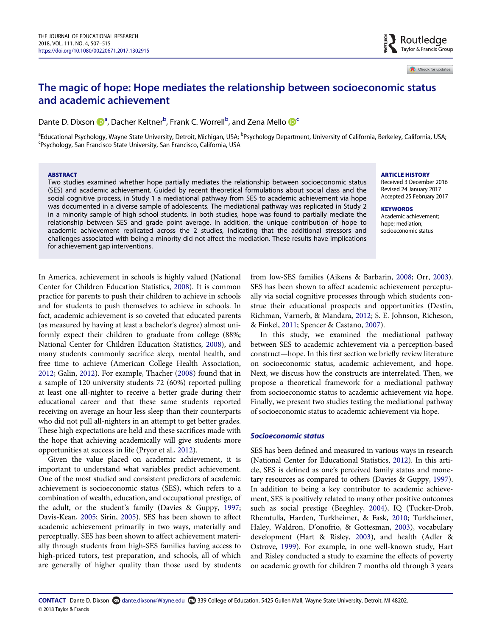# The magic of hope: Hope mediates the relationship between socioeconomic status and academic achievement

D[a](#page-1-0)nte D. Dixs[o](#page-7-0)n **D**<sup>a</sup>, Dacher Keltner<sup>[b](#page-1-0)</sup>, Frank C. Worrell<sup>b</sup>, and Zena Mello **D**<sup>[c](#page-1-0)</sup>

<span id="page-1-0"></span><sup>a</sup>Educational Psychology, Wayne State University, Detroit, Michigan, USA; <sup>b</sup>Psychology Department, University of California, Berkeley, California, USA;<br><sup>Sp</sup>eychology, San Francisco State University, San Francisco, Califo Psychology, San Francisco State University, San Francisco, California, USA

#### ABSTRACT

Two studies examined whether hope partially mediates the relationship between socioeconomic status (SES) and academic achievement. Guided by recent theoretical formulations about social class and the social cognitive process, in Study 1 a mediational pathway from SES to academic achievement via hope was documented in a diverse sample of adolescents. The mediational pathway was replicated in Study 2 in a minority sample of high school students. In both studies, hope was found to partially mediate the relationship between SES and grade point average. In addition, the unique contribution of hope to academic achievement replicated across the 2 studies, indicating that the additional stressors and challenges associated with being a minority did not affect the mediation. These results have implications for achievement gap interventions.

#### ARTICLE HISTORY

Received 3 December 2016 Revised 24 January 2017 Accepted 25 February 2017

Routledge Taylor & Francis Group

Check for updates

**KEYWORDS** Academic achievement; hope; mediation; socioeconomic status

In America, achievement in schools is highly valued (National Center for Children Education Statistics, [2008\)](#page-8-0). It is common practice for parents to push their children to achieve in schools and for students to push themselves to achieve in schools. In fact, academic achievement is so coveted that educated parents (as measured by having at least a bachelor's degree) almost uniformly expect their children to graduate from college (88%; National Center for Children Education Statistics, [2008\)](#page-8-0), and many students commonly sacrifice sleep, mental health, and free time to achieve (American College Health Association, [2012;](#page-7-1) Galin, [2012](#page-8-1)). For example, Thacher [\(2008](#page-9-0)) found that in a sample of 120 university students 72 (60%) reported pulling at least one all-nighter to receive a better grade during their educational career and that these same students reported receiving on average an hour less sleep than their counterparts who did not pull all-nighters in an attempt to get better grades. These high expectations are held and these sacrifices made with the hope that achieving academically will give students more opportunities at success in life (Pryor et al., [2012](#page-8-2)).

Given the value placed on academic achievement, it is important to understand what variables predict achievement. One of the most studied and consistent predictors of academic achievement is socioeconomic status (SES), which refers to a combination of wealth, education, and occupational prestige, of the adult, or the student's family (Davies & Guppy, [1997;](#page-7-2) Davis-Kean, [2005](#page-7-3); Sirin, [2005](#page-9-1)). SES has been shown to affect academic achievement primarily in two ways, materially and perceptually. SES has been shown to affect achievement materially through students from high-SES families having access to high-priced tutors, test preparation, and schools, all of which are generally of higher quality than those used by students

from low-SES families (Aikens & Barbarin, [2008;](#page-7-4) Orr, [2003\)](#page-8-3). SES has been shown to affect academic achievement perceptually via social cognitive processes through which students construe their educational prospects and opportunities (Destin, Richman, Varnerb, & Mandara, [2012;](#page-8-4) S. E. Johnson, Richeson, & Finkel, [2011;](#page-8-5) Spencer & Castano, [2007\)](#page-9-2).

In this study, we examined the mediational pathway between SES to academic achievement via a perception-based construct—hope. In this first section we briefly review literature on socioeconomic status, academic achievement, and hope. Next, we discuss how the constructs are interrelated. Then, we propose a theoretical framework for a mediational pathway from socioeconomic status to academic achievement via hope. Finally, we present two studies testing the mediational pathway of socioeconomic status to academic achievement via hope.

#### Socioeconomic status

SES has been defined and measured in various ways in research (National Center for Educational Statistics, [2012](#page-8-6)). In this article, SES is defined as one's perceived family status and monetary resources as compared to others (Davies & Guppy, [1997\)](#page-7-2). In addition to being a key contributor to academic achievement, SES is positively related to many other positive outcomes such as social prestige (Beeghley, [2004\)](#page-7-5), IQ (Tucker-Drob, Rhemtulla, Harden, Turkheimer, & Fask, [2010](#page-9-3); Turkheimer, Haley, Waldron, D'onofrio, & Gottesman, [2003\)](#page-9-4), vocabulary development (Hart & Risley, [2003\)](#page-8-7), and health (Adler & Ostrove, [1999\)](#page-7-6). For example, in one well-known study, Hart and Risley conducted a study to examine the effects of poverty on academic growth for children 7 months old through 3 years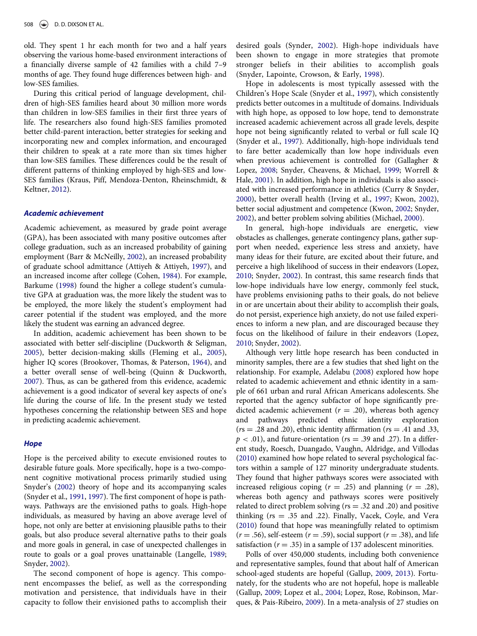old. They spent 1 hr each month for two and a half years observing the various home-based environment interactions of a financially diverse sample of 42 families with a child 7–9 months of age. They found huge differences between high- and low-SES families.

During this critical period of language development, children of high-SES families heard about 30 million more words than children in low-SES families in their first three years of life. The researchers also found high-SES families promoted better child-parent interaction, better strategies for seeking and incorporating new and complex information, and encouraged their children to speak at a rate more than six times higher than low-SES families. These differences could be the result of different patterns of thinking employed by high-SES and low-SES families (Kraus, Piff, Mendoza-Denton, Rheinschmidt, & Keltner, [2012](#page-8-8)).

#### Academic achievement

Academic achievement, as measured by grade point average (GPA), has been associated with many positive outcomes after college graduation, such as an increased probability of gaining employment (Barr & McNeilly, [2002](#page-7-7)), an increased probability of graduate school admittance (Attiyeh & Attiyeh, [1997\)](#page-7-8), and an increased income after college (Cohen, [1984](#page-7-9)). For example, Barkume [\(1998](#page-7-10)) found the higher a college student's cumulative GPA at graduation was, the more likely the student was to be employed, the more likely the student's employment had career potential if the student was employed, and the more likely the student was earning an advanced degree.

In addition, academic achievement has been shown to be associated with better self-discipline (Duckworth & Seligman, [2005](#page-8-9)), better decision-making skills (Fleming et al., [2005](#page-8-10)), higher IQ scores (Brookover, Thomas, & Paterson, [1964](#page-7-11)), and a better overall sense of well-being (Quinn & Duckworth, [2007](#page-8-11)). Thus, as can be gathered from this evidence, academic achievement is a good indicator of several key aspects of one's life during the course of life. In the present study we tested hypotheses concerning the relationship between SES and hope in predicting academic achievement.

#### **Hope**

Hope is the perceived ability to execute envisioned routes to desirable future goals. More specifically, hope is a two-component cognitive motivational process primarily studied using Snyder's [\(2002](#page-9-5)) theory of hope and its accompanying scales (Snyder et al., [1991](#page-9-6), [1997\)](#page-9-7). The first component of hope is pathways. Pathways are the envisioned paths to goals. High-hope individuals, as measured by having an above average level of hope, not only are better at envisioning plausible paths to their goals, but also produce several alternative paths to their goals and more goals in general, in case of unexpected challenges in route to goals or a goal proves unattainable (Langelle, [1989;](#page-8-12) Snyder, [2002](#page-9-5)).

The second component of hope is agency. This component encompasses the belief, as well as the corresponding motivation and persistence, that individuals have in their capacity to follow their envisioned paths to accomplish their

desired goals (Synder, [2002](#page-9-5)). High-hope individuals have been shown to engage in more strategies that promote stronger beliefs in their abilities to accomplish goals (Snyder, Lapointe, Crowson, & Early, [1998\)](#page-9-8).

Hope in adolescents is most typically assessed with the Children's Hope Scale (Snyder et al., [1997](#page-9-7)), which consistently predicts better outcomes in a multitude of domains. Individuals with high hope, as opposed to low hope, tend to demonstrate increased academic achievement across all grade levels, despite hope not being significantly related to verbal or full scale IQ (Snyder et al., [1997\)](#page-9-7). Additionally, high-hope individuals tend to fare better academically than low hope individuals even when previous achievement is controlled for (Gallagher & Lopez, [2008](#page-8-13); Snyder, Cheavens, & Michael, [1999](#page-9-9); Worrell & Hale, [2001](#page-9-10)). In addition, high hope in individuals is also associated with increased performance in athletics (Curry & Snyder, [2000](#page-7-12)), better overall health (Irving et al., [1997;](#page-8-14) Kwon, [2002\)](#page-8-15), better social adjustment and competence (Kwon, [2002](#page-8-15); Snyder, [2002](#page-9-5)), and better problem solving abilities (Michael, [2000](#page-8-16)).

In general, high-hope individuals are energetic, view obstacles as challenges, generate contingency plans, gather support when needed, experience less stress and anxiety, have many ideas for their future, are excited about their future, and perceive a high likelihood of success in their endeavors (Lopez, [2010](#page-8-17); Snyder, [2002\)](#page-9-5). In contrast, this same research finds that low-hope individuals have low energy, commonly feel stuck, have problems envisioning paths to their goals, do not believe in or are uncertain about their ability to accomplish their goals, do not persist, experience high anxiety, do not use failed experiences to inform a new plan, and are discouraged because they focus on the likelihood of failure in their endeavors (Lopez, [2010](#page-8-17); Snyder, [2002](#page-9-5)).

Although very little hope research has been conducted in minority samples, there are a few studies that shed light on the relationship. For example, Adelabu ([2008\)](#page-7-13) explored how hope related to academic achievement and ethnic identity in a sample of 661 urban and rural African Americans adolescents. She reported that the agency subfactor of hope significantly predicted academic achievement ( $r = .20$ ), whereas both agency<br>and pathways predicted ethnic identity exploration predicted ethnic identity exploration  $(rs = .28$  and .20), ethnic identity affirmation ( $rs = .41$  and .33,  $p < .01$ ), and future-orientation ( $rs = .39$  and .27). In a different study, Roesch, Duangado, Vaughn, Aldridge, and Villodas [\(2010\)](#page-8-18) examined how hope related to several psychological factors within a sample of 127 minority undergraduate students. They found that higher pathways scores were associated with increased religious coping ( $r = .25$ ) and planning ( $r = .28$ ), whereas both agency and pathways scores were positively related to direct problem solving ( $rs = .32$  and .20) and positive thinking ( $rs = .35$  and .22). Finally, Vacek, Coyle, and Vera [\(2010\)](#page-9-11) found that hope was meaningfully related to optimism  $(r = .56)$ , self-esteem  $(r = .59)$ , social support  $(r = .38)$ , and life satisfaction ( $r = .35$ ) in a sample of 137 adolescent minorities.

Polls of over 450,000 students, including both convenience and representative samples, found that about half of American school-aged students are hopeful (Gallup, [2009,](#page-8-19) [2013](#page-8-20)). Fortunately, for the students who are not hopeful, hope is malleable (Gallup, [2009;](#page-8-19) Lopez et al., [2004](#page-8-21); Lopez, Rose, Robinson, Marques, & Pais-Ribeiro, [2009](#page-8-22)). In a meta-analysis of 27 studies on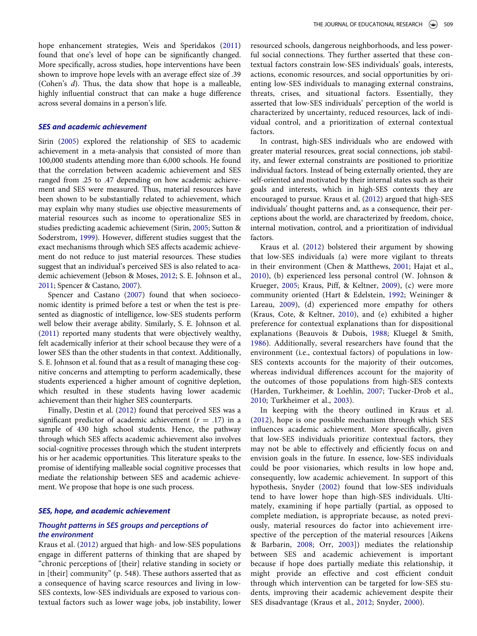hope enhancement strategies, Weis and Speridakos [\(2011\)](#page-9-12) found that one's level of hope can be significantly changed. More specifically, across studies, hope interventions have been shown to improve hope levels with an average effect size of .39 (Cohen's d). Thus, the data show that hope is a malleable, highly influential construct that can make a huge difference across several domains in a person's life.

#### SES and academic achievement

Sirin ([2005\)](#page-9-1) explored the relationship of SES to academic achievement in a meta-analysis that consisted of more than 100,000 students attending more than 6,000 schools. He found that the correlation between academic achievement and SES ranged from .25 to .47 depending on how academic achievement and SES were measured. Thus, material resources have been shown to be substantially related to achievement, which may explain why many studies use objective measurements of material resources such as income to operationalize SES in studies predicting academic achievement (Sirin, [2005](#page-9-1); Sutton & Soderstrom, [1999](#page-9-0)). However, different studies suggest that the exact mechanisms through which SES affects academic achievement do not reduce to just material resources. These studies suggest that an individual's perceived SES is also related to academic achievement (Jebson & Moses, [2012;](#page-8-23) S. E. Johnson et al., [2011;](#page-8-5) Spencer & Castano, [2007\)](#page-9-2).

Spencer and Castano ([2007](#page-9-2)) found that when socioeconomic identity is primed before a test or when the test is presented as diagnostic of intelligence, low-SES students perform well below their average ability. Similarly, S. E. Johnson et al. [\(2011](#page-8-5)) reported many students that were objectively wealthy, felt academically inferior at their school because they were of a lower SES than the other students in that context. Additionally, S. E. Johnson et al. found that as a result of managing these cognitive concerns and attempting to perform academically, these students experienced a higher amount of cognitive depletion, which resulted in these students having lower academic achievement than their higher SES counterparts.

Finally, Destin et al. [\(2012](#page-8-4)) found that perceived SES was a significant predictor of academic achievement ( $r = .17$ ) in a sample of 430 high school students. Hence, the pathway through which SES affects academic achievement also involves social-cognitive processes through which the student interprets his or her academic opportunities. This literature speaks to the promise of identifying malleable social cognitive processes that mediate the relationship between SES and academic achievement. We propose that hope is one such process.

#### SES, hope, and academic achievement

# Thought patterns in SES groups and perceptions of the environment

Kraus et al. ([2012](#page-8-8)) argued that high- and low-SES populations engage in different patterns of thinking that are shaped by "chronic perceptions of [their] relative standing in society or in [their] community" (p. 548). These authors asserted that as a consequence of having scarce resources and living in low-SES contexts, low-SES individuals are exposed to various contextual factors such as lower wage jobs, job instability, lower resourced schools, dangerous neighborhoods, and less powerful social connections. They further asserted that these contextual factors constrain low-SES individuals' goals, interests, actions, economic resources, and social opportunities by orienting low-SES individuals to managing external constrains, threats, crises, and situational factors. Essentially, they asserted that low-SES individuals' perception of the world is characterized by uncertainty, reduced resources, lack of individual control, and a prioritization of external contextual factors.

In contrast, high-SES individuals who are endowed with greater material resources, great social connections, job stability, and fewer external constraints are positioned to prioritize individual factors. Instead of being externally oriented, they are self-oriented and motivated by their internal states such as their goals and interests, which in high-SES contexts they are encouraged to pursue. Kraus et al. [\(2012](#page-8-8)) argued that high-SES individuals' thought patterns and, as a consequence, their perceptions about the world, are characterized by freedom, choice, internal motivation, control, and a prioritization of individual factors.

Kraus et al. ([2012](#page-8-8)) bolstered their argument by showing that low-SES individuals (a) were more vigilant to threats in their environment (Chen & Matthews, [2001](#page-7-14); Hajat et al., [2010](#page-8-24)), (b) experienced less personal control (W. Johnson & Krueger, [2005](#page-8-25); Kraus, Piff, & Keltner, [2009\)](#page-8-26), (c) were more community oriented (Hart & Edelstein, [1992](#page-8-27); Weininger & Lareau, [2009](#page-9-13)), (d) experienced more empathy for others (Kraus, Cote, & Keltner, [2010\)](#page-8-28), and (e) exhibited a higher preference for contextual explanations than for dispositional explanations (Beauvois & Dubois, [1988](#page-7-15); Kluegel & Smith, [1986](#page-8-29)). Additionally, several researchers have found that the environment (i.e., contextual factors) of populations in low-SES contexts accounts for the majority of their outcomes, whereas individual differences account for the majority of the outcomes of those populations from high-SES contexts (Harden, Turkheimer, & Loehlin, [2007;](#page-8-30) Tucker-Drob et al., [2010](#page-9-3); Turkheimer et al., [2003](#page-9-4)).

In keeping with the theory outlined in Kraus et al. [\(2012](#page-8-8)), hope is one possible mechanism through which SES influences academic achievement. More specifically, given that low-SES individuals prioritize contextual factors, they may not be able to effectively and efficiently focus on and envision goals in the future. In essence, low-SES individuals could be poor visionaries, which results in low hope and, consequently, low academic achievement. In support of this hypothesis, Snyder [\(2002\)](#page-9-5) found that low-SES individuals tend to have lower hope than high-SES individuals. Ultimately, examining if hope partially (partial, as opposed to complete mediation, is appropriate because, as noted previously, material resources do factor into achievement irrespective of the perception of the material resources [Aikens & Barbarin, [2008](#page-7-4); Orr, [2003\]](#page-8-3)) mediates the relationship between SES and academic achievement is important because if hope does partially mediate this relationship, it might provide an effective and cost efficient conduit through which intervention can be targeted for low-SES students, improving their academic achievement despite their SES disadvantage (Kraus et al., [2012](#page-8-8); Snyder, [2000\)](#page-9-14).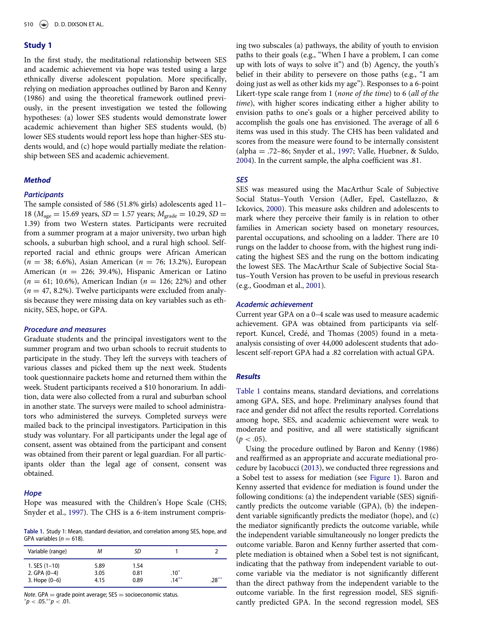#### Study 1

In the first study, the meditational relationship between SES and academic achievement via hope was tested using a large ethnically diverse adolescent population. More specifically, relying on mediation approaches outlined by Baron and Kenny (1986) and using the theoretical framework outlined previously, in the present investigation we tested the following hypotheses: (a) lower SES students would demonstrate lower academic achievement than higher SES students would, (b) lower SES students would report less hope than higher-SES students would, and (c) hope would partially mediate the relationship between SES and academic achievement.

# Method

#### **Participants**

The sample consisted of 586 (51.8% girls) adolescents aged 11– 18 ( $M_{\text{age}} = 15.69$  years,  $SD = 1.57$  years;  $M_{\text{grade}} = 10.29$ ,  $SD =$ 1.39) from two Western states. Participants were recruited from a summer program at a major university, two urban high schools, a suburban high school, and a rural high school. Selfreported racial and ethnic groups were African American  $(n = 38; 6.6\%)$ , Asian American  $(n = 76; 13.2\%)$ , European American ( $n = 226$ ; 39.4%), Hispanic American or Latino  $(n = 61; 10.6%)$ , American Indian  $(n = 126; 22%)$  and other  $(n = 47, 8.2\%)$ . Twelve participants were excluded from analysis because they were missing data on key variables such as ethnicity, SES, hope, or GPA.

# Procedure and measures

Graduate students and the principal investigators went to the summer program and two urban schools to recruit students to participate in the study. They left the surveys with teachers of various classes and picked them up the next week. Students took questionnaire packets home and returned them within the week. Student participants received a \$10 honorarium. In addition, data were also collected from a rural and suburban school in another state. The surveys were mailed to school administrators who administered the surveys. Completed surveys were mailed back to the principal investigators. Participation in this study was voluntary. For all participants under the legal age of consent, assent was obtained from the participant and consent was obtained from their parent or legal guardian. For all participants older than the legal age of consent, consent was obtained.

#### **Hope**

Hope was measured with the Children's Hope Scale (CHS; Snyder et al., [1997](#page-9-7)). The CHS is a 6-item instrument compris-

<span id="page-4-0"></span>Table 1. Study 1: Mean, standard deviation, and correlation among SES, hope, and GPA variables ( $n = 618$ ).

| Variable (range)                                    | Μ                    | SD                   |                     |          |
|-----------------------------------------------------|----------------------|----------------------|---------------------|----------|
| 1. SES $(1-10)$<br>2. $GPA(0-4)$<br>3. Hope $(0-6)$ | 5.89<br>3.05<br>4.15 | 1.54<br>0.81<br>0.89 | $.10^*$<br>$.14***$ | $.28***$ |

Note. GPA  $=$  grade point average; SES  $=$  socioeconomic status.  $p < .05$ .\*\*p < .01.

ing two subscales (a) pathways, the ability of youth to envision paths to their goals (e.g., "When I have a problem, I can come up with lots of ways to solve it") and (b) Agency, the youth's belief in their ability to persevere on those paths (e.g., "I am doing just as well as other kids my age"). Responses to a 6-point Likert-type scale range from 1 (none of the time) to 6 (all of the time), with higher scores indicating either a higher ability to envision paths to one's goals or a higher perceived ability to accomplish the goals one has envisioned. The average of all 6 items was used in this study. The CHS has been validated and scores from the measure were found to be internally consistent (alpha  $=$  .72–86; Snyder et al., [1997;](#page-9-7) Valle, Huebner, & Suldo, [2004](#page-9-15)). In the current sample, the alpha coefficient was .81.

#### SES

SES was measured using the MacArthur Scale of Subjective Social Status–Youth Version (Adler, Epel, Castellazzo, & Ickovics, [2000\)](#page-7-16). This measure asks children and adolescents to mark where they perceive their family is in relation to other families in American society based on monetary resources, parental occupations, and schooling on a ladder. There are 10 rungs on the ladder to choose from, with the highest rung indicating the highest SES and the rung on the bottom indicating the lowest SES. The MacArthur Scale of Subjective Social Status–Youth Version has proven to be useful in previous research (e.g., Goodman et al., [2001\)](#page-8-31).

#### Academic achievement

Current year GPA on a 0–4 scale was used to measure academic achievement. GPA was obtained from participants via selfreport. Kuncel, Credé, and Thomas (2005) found in a metaanalysis consisting of over 44,000 adolescent students that adolescent self-report GPA had a .82 correlation with actual GPA.

#### **Results**

[Table 1](#page-4-0) contains means, standard deviations, and correlations among GPA, SES, and hope. Preliminary analyses found that race and gender did not affect the results reported. Correlations among hope, SES, and academic achievement were weak to moderate and positive, and all were statistically significant  $(p < .05)$ .

Using the procedure outlined by Baron and Kenny (1986) and reaffirmed as an appropriate and accurate mediational procedure by Iacobucci [\(2013](#page-8-32)), we conducted three regressions and a Sobel test to assess for mediation (see [Figure 1](#page-5-0)). Baron and Kenny asserted that evidence for mediation is found under the following conditions: (a) the independent variable (SES) significantly predicts the outcome variable (GPA), (b) the independent variable significantly predicts the mediator (hope), and (c) the mediator significantly predicts the outcome variable, while the independent variable simultaneously no longer predicts the outcome variable. Baron and Kenny further asserted that complete mediation is obtained when a Sobel test is not significant, indicating that the pathway from independent variable to outcome variable via the mediator is not significantly different than the direct pathway from the independent variable to the outcome variable. In the first regression model, SES significantly predicted GPA. In the second regression model, SES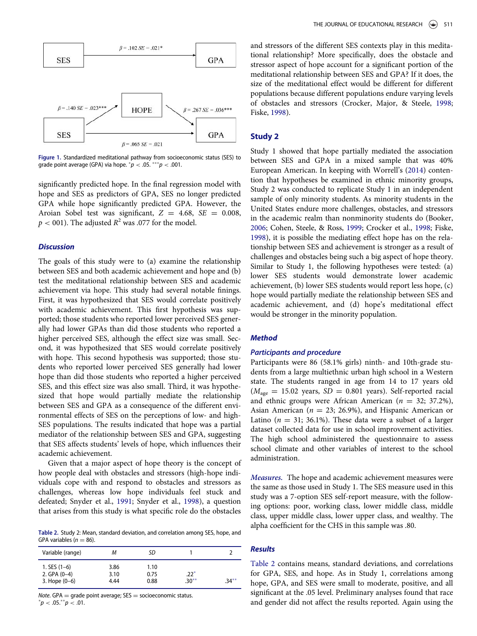<span id="page-5-0"></span>

Figure 1. Standardized meditational pathway from socioeconomic status (SES) to grade point average (GPA) via hope.  $^*p < .05.$   $^{***}p < .001.$ 

significantly predicted hope. In the final regression model with hope and SES as predictors of GPA, SES no longer predicted GPA while hope significantly predicted GPA. However, the Aroian Sobel test was significant,  $Z = 4.68$ ,  $SE = 0.008$ ,  $p < 001$ ). The adjusted  $R^2$  was .077 for the model.

#### **Discussion**

The goals of this study were to (a) examine the relationship between SES and both academic achievement and hope and (b) test the meditational relationship between SES and academic achievement via hope. This study had several notable finings. First, it was hypothesized that SES would correlate positively with academic achievement. This first hypothesis was supported; those students who reported lower perceived SES generally had lower GPAs than did those students who reported a higher perceived SES, although the effect size was small. Second, it was hypothesized that SES would correlate positively with hope. This second hypothesis was supported; those students who reported lower perceived SES generally had lower hope than did those students who reported a higher perceived SES, and this effect size was also small. Third, it was hypothesized that hope would partially mediate the relationship between SES and GPA as a consequence of the different environmental effects of SES on the perceptions of low- and high-SES populations. The results indicated that hope was a partial mediator of the relationship between SES and GPA, suggesting that SES affects students' levels of hope, which influences their academic achievement.

Given that a major aspect of hope theory is the concept of how people deal with obstacles and stressors (high-hope individuals cope with and respond to obstacles and stressors as challenges, whereas low hope individuals feel stuck and defeated; Snyder et al., [1991](#page-9-6); Snyder et al., [1998\)](#page-9-8), a question that arises from this study is what specific role do the obstacles

<span id="page-5-1"></span>Table 2. Study 2: Mean, standard deviation, and correlation among SES, hope, and GPA variables ( $n = 86$ ).

| Variable (range)                                   | М                    | SD                   |                   |          |
|----------------------------------------------------|----------------------|----------------------|-------------------|----------|
| 1. SES $(1-6)$<br>2. $GPA(0-4)$<br>3. Hope $(0-6)$ | 3.86<br>3.10<br>4.44 | 1.10<br>0.75<br>0.88 | $.22*$<br>$.30**$ | $.34***$ |

Note. GPA = grade point average;  $SES =$  socioeconomic status.  $p < .05$ . \*\*  $p < .01$ .

and stressors of the different SES contexts play in this meditational relationship? More specifically, does the obstacle and stressor aspect of hope account for a significant portion of the meditational relationship between SES and GPA? If it does, the size of the meditational effect would be different for different populations because different populations endure varying levels of obstacles and stressors (Crocker, Major, & Steele, [1998;](#page-7-17) Fiske, [1998](#page-8-33)).

#### Study 2

Study 1 showed that hope partially mediated the association between SES and GPA in a mixed sample that was 40% European American. In keeping with Worrell's ([2014](#page-9-16)) contention that hypotheses be examined in ethnic minority groups, Study 2 was conducted to replicate Study 1 in an independent sample of only minority students. As minority students in the United States endure more challenges, obstacles, and stressors in the academic realm than nonminority students do (Booker, [2006](#page-7-18); Cohen, Steele, & Ross, [1999;](#page-7-19) Crocker et al., [1998;](#page-7-17) Fiske, [1998](#page-8-33)), it is possible the mediating effect hope has on the relationship between SES and achievement is stronger as a result of challenges and obstacles being such a big aspect of hope theory. Similar to Study 1, the following hypotheses were tested: (a) lower SES students would demonstrate lower academic achievement, (b) lower SES students would report less hope, (c) hope would partially mediate the relationship between SES and academic achievement, and (d) hope's meditational effect would be stronger in the minority population.

#### Method

#### Participants and procedure

Participants were 86 (58.1% girls) ninth- and 10th-grade students from a large multiethnic urban high school in a Western state. The students ranged in age from 14 to 17 years old  $(M<sub>age</sub> = 15.02 \text{ years}, SD = 0.801 \text{ years}).$  Self-reported racial and ethnic groups were African American ( $n = 32$ ; 37.2%), Asian American ( $n = 23$ ; 26.9%), and Hispanic American or Latino ( $n = 31$ ; 36.1%). These data were a subset of a larger dataset collected data for use in school improvement activities. The high school administered the questionnaire to assess school climate and other variables of interest to the school administration.

Measures. The hope and academic achievement measures were the same as those used in Study 1. The SES measure used in this study was a 7-option SES self-report measure, with the following options: poor, working class, lower middle class, middle class, upper middle class, lower upper class, and wealthy. The alpha coefficient for the CHS in this sample was .80.

# **Results**

[Table 2](#page-5-1) contains means, standard deviations, and correlations for GPA, SES, and hope. As in Study 1, correlations among hope, GPA, and SES were small to moderate, positive, and all significant at the .05 level. Preliminary analyses found that race and gender did not affect the results reported. Again using the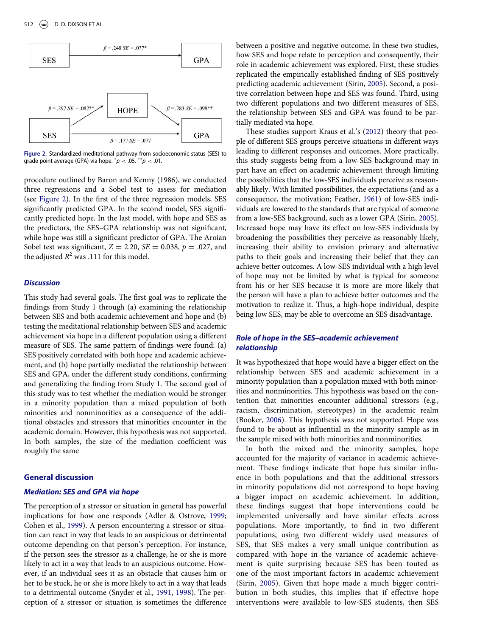<span id="page-6-0"></span>

Figure 2. Standardized meditational pathway from socioeconomic status (SES) to grade point average (GPA) via hope.  $^*p < .05$ .  $^{**}p < .01$ .

procedure outlined by Baron and Kenny (1986), we conducted three regressions and a Sobel test to assess for mediation (see [Figure 2](#page-6-0)). In the first of the three regression models, SES significantly predicted GPA. In the second model, SES significantly predicted hope. In the last model, with hope and SES as the predictors, the SES–GPA relationship was not significant, while hope was still a significant predictor of GPA. The Aroian Sobel test was significant,  $Z = 2.20$ ,  $SE = 0.038$ ,  $p = .027$ , and the adjusted  $R^2$  was .111 for this model.

# **Discussion**

This study had several goals. The first goal was to replicate the findings from Study 1 through (a) examining the relationship between SES and both academic achievement and hope and (b) testing the meditational relationship between SES and academic achievement via hope in a different population using a different measure of SES. The same pattern of findings were found: (a) SES positively correlated with both hope and academic achievement, and (b) hope partially mediated the relationship between SES and GPA, under the different study conditions, confirming and generalizing the finding from Study 1. The second goal of this study was to test whether the mediation would be stronger in a minority population than a mixed population of both minorities and nonminorities as a consequence of the additional obstacles and stressors that minorities encounter in the academic domain. However, this hypothesis was not supported. In both samples, the size of the mediation coefficient was roughly the same

# General discussion

#### Mediation: SES and GPA via hope

The perception of a stressor or situation in general has powerful implications for how one responds (Adler & Ostrove, [1999;](#page-7-6) Cohen et al., [1999\)](#page-7-19). A person encountering a stressor or situation can react in way that leads to an auspicious or detrimental outcome depending on that person's perception. For instance, if the person sees the stressor as a challenge, he or she is more likely to act in a way that leads to an auspicious outcome. However, if an individual sees it as an obstacle that causes him or her to be stuck, he or she is more likely to act in a way that leads to a detrimental outcome (Snyder et al., [1991,](#page-9-6) [1998](#page-9-8)). The perception of a stressor or situation is sometimes the difference between a positive and negative outcome. In these two studies, how SES and hope relate to perception and consequently, their role in academic achievement was explored. First, these studies replicated the empirically established finding of SES positively predicting academic achievement (Sirin, [2005\)](#page-9-1). Second, a positive correlation between hope and SES was found. Third, using two different populations and two different measures of SES, the relationship between SES and GPA was found to be partially mediated via hope.

These studies support Kraus et al.'s [\(2012](#page-8-8)) theory that people of different SES groups perceive situations in different ways leading to different responses and outcomes. More practically, this study suggests being from a low-SES background may in part have an effect on academic achievement through limiting the possibilities that the low-SES individuals perceive as reasonably likely. With limited possibilities, the expectations (and as a consequence, the motivation; Feather, [1961](#page-8-34)) of low-SES individuals are lowered to the standards that are typical of someone from a low-SES background, such as a lower GPA (Sirin, [2005\)](#page-9-1). Increased hope may have its effect on low-SES individuals by broadening the possibilities they perceive as reasonably likely, increasing their ability to envision primary and alternative paths to their goals and increasing their belief that they can achieve better outcomes. A low-SES individual with a high level of hope may not be limited by what is typical for someone from his or her SES because it is more are more likely that the person will have a plan to achieve better outcomes and the motivation to realize it. Thus, a high-hope individual, despite being low SES, may be able to overcome an SES disadvantage.

### Role of hope in the SES–academic achievement relationship

It was hypothesized that hope would have a bigger effect on the relationship between SES and academic achievement in a minority population than a population mixed with both minorities and nonminorities. This hypothesis was based on the contention that minorities encounter additional stressors (e.g., racism, discrimination, stereotypes) in the academic realm (Booker, [2006\)](#page-7-18). This hypothesis was not supported. Hope was found to be about as influential in the minority sample as in the sample mixed with both minorities and nonminorities.

In both the mixed and the minority samples, hope accounted for the majority of variance in academic achievement. These findings indicate that hope has similar influence in both populations and that the additional stressors in minority populations did not correspond to hope having a bigger impact on academic achievement. In addition, these findings suggest that hope interventions could be implemented universally and have similar effects across populations. More importantly, to find in two different populations, using two different widely used measures of SES, that SES makes a very small unique contribution as compared with hope in the variance of academic achievement is quite surprising because SES has been touted as one of the most important factors in academic achievement (Sirin, [2005](#page-9-1)). Given that hope made a much bigger contribution in both studies, this implies that if effective hope interventions were available to low-SES students, then SES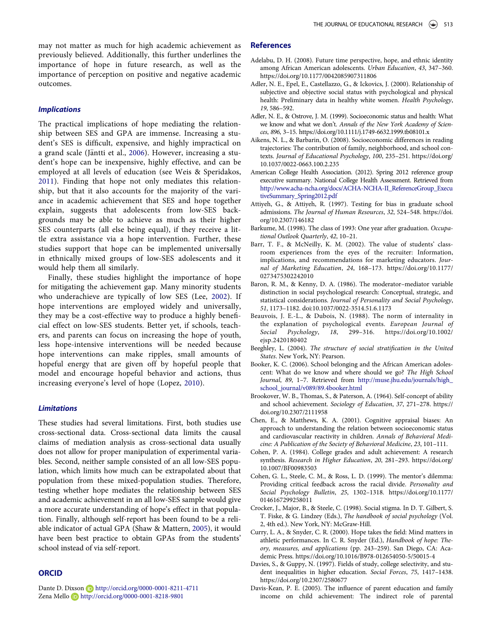<span id="page-7-13"></span>may not matter as much for high academic achievement as previously believed. Additionally, this further underlines the importance of hope in future research, as well as the importance of perception on positive and negative academic outcomes.

#### <span id="page-7-16"></span><span id="page-7-6"></span>Implications

<span id="page-7-4"></span><span id="page-7-1"></span>The practical implications of hope mediating the relationship between SES and GPA are immense. Increasing a student's SES is difficult, expensive, and highly impractical on a grand scale (Jäntti et al., [2006\)](#page-8-35). However, increasing a student's hope can be inexpensive, highly effective, and can be employed at all levels of education (see Weis & Speridakos, [2011](#page-9-12)). Finding that hope not only mediates this relationship, but that it also accounts for the majority of the variance in academic achievement that SES and hope together explain, suggests that adolescents from low-SES backgrounds may be able to achieve as much as their higher SES counterparts (all else being equal), if they receive a little extra assistance via a hope intervention. Further, these studies support that hope can be implemented universally in ethnically mixed groups of low-SES adolescents and it would help them all similarly.

<span id="page-7-15"></span><span id="page-7-10"></span><span id="page-7-8"></span><span id="page-7-7"></span>Finally, these studies highlight the importance of hope for mitigating the achievement gap. Many minority students who underachieve are typically of low SES (Lee, [2002\)](#page-8-36). If hope interventions are employed widely and universally, they may be a cost-effective way to produce a highly beneficial effect on low-SES students. Better yet, if schools, teachers, and parents can focus on increasing the hope of youth, less hope-intensive interventions will be needed because hope interventions can make ripples, small amounts of hopeful energy that are given off by hopeful people that model and encourage hopeful behavior and actions, thus increasing everyone's level of hope (Lopez, [2010\)](#page-8-17).

#### <span id="page-7-18"></span><span id="page-7-11"></span><span id="page-7-5"></span>Limitations

<span id="page-7-19"></span><span id="page-7-14"></span><span id="page-7-9"></span>These studies had several limitations. First, both studies use cross-sectional data. Cross-sectional data limits the causal claims of mediation analysis as cross-sectional data usually does not allow for proper manipulation of experimental variables. Second, neither sample consisted of an all low-SES population, which limits how much can be extrapolated about that population from these mixed-population studies. Therefore, testing whether hope mediates the relationship between SES and academic achievement in an all low-SES sample would give a more accurate understanding of hope's effect in that population. Finally, although self-report has been found to be a reliable indicator of actual GPA (Shaw & Mattern, [2005\)](#page-8-37), it would have been best practice to obtain GPAs from the students' school instead of via self-report.

### <span id="page-7-17"></span><span id="page-7-12"></span><span id="page-7-2"></span>**ORCID**

<span id="page-7-3"></span><span id="page-7-0"></span>Dante D. Dixson **b** <http://orcid.org/0000-0001-8211-4711> Zena Mello <http://orcid.org/0000-0001-8218-9801>

#### References

- Adelabu, D. H. (2008). Future time perspective, hope, and ethnic identity among African American adolescents. Urban Education, 43, 347–360. https://doi.org/[10.1177/0042085907311806](https://doi.org/10.1177/0042085907311806)
- Adler, N. E., Epel, E., Castellazzo, G., & Ickovics, J. (2000). Relationship of subjective and objective social status with psychological and physical health: Preliminary data in healthy white women. Health Psychology, 19, 586–592.
- Adler, N. E., & Ostrove, J. M. (1999). Socioeconomic status and health: What we know and what we don't. Annals of the New York Academy of Sciences, 896, 3–15. https://doi.org[/10.1111/j.1749-6632.1999.tb08101.x](https://doi.org/10.1111/j.1749-6632.1999.tb08101.x)
- Aikens, N. L., & Barbarin, O. (2008). Socioeconomic differences in reading trajectories: The contribution of family, neighborhood, and school contexts. Journal of Educational Psychology, 100, 235–251. https://doi.org/ [10.1037/0022-0663.100.2.235](https://doi.org/10.1037/0022-0663.100.2.235)
- American College Health Association. (2012). Spring 2012 reference group executive summary. National College Health Assessment. Retrieved from [http://www.acha-ncha.org/docs/ACHA-NCHA-II\\_ReferenceGroup\\_Execu](http://www.acha-ncha.org/docs/ACHA-NCHA-II_ReferenceGroup_ExecutiveSummary_Spring2012.pdf) [tiveSummary\\_Spring2012.pdf](http://www.acha-ncha.org/docs/ACHA-NCHA-II_ReferenceGroup_ExecutiveSummary_Spring2012.pdf)
- Attiyeh, G., & Attiyeh, R. (1997). Testing for bias in graduate school admissions. The Journal of Human Resources, 32, 524–548. https://doi. org/[10.2307/146182](https://doi.org/10.2307/146182)
- Barkume, M. (1998). The class of 1993: One year after graduation. Occupational Outlook Quarterly, 42, 10–21.
- Barr, T. F., & McNeilly, K. M. (2002). The value of students' classroom experiences from the eyes of the recruiter: Information, implications, and recommendations for marketing educators. Journal of Marketing Education, 24, 168–173. https://doi.org/[10.1177/](https://doi.org/10.1177/0273475302242010) [0273475302242010](https://doi.org/10.1177/0273475302242010)
- Baron, R. M., & Kenny, D. A. (1986). The moderator–mediator variable distinction in social psychological research: Conceptual, strategic, and statistical considerations. Journal of Personality and Social Psychology, 51, 1173–1182. doi[:10.1037/0022-3514.51.6.1173](https://doi.org/10.1037/0022-3514.51.6.1173)
- Beauvois, J. E.-L., & Dubois, N. (1988). The norm of internality in the explanation of psychological events. European Journal of Social Psychology, 18, 299–316. https://doi.org/[10.1002/](https://doi.org/10.1002/ejsp.2420180402) [ejsp.2420180402](https://doi.org/10.1002/ejsp.2420180402)
- Beeghley, L. (2004). The structure of social stratification in the United States. New York, NY: Pearson.
- Booker, K. C. (2006). School belonging and the African American adolescent: What do we know and where should we go? The High School Journal, 89, 1–7. Retrieved from [http://muse.jhu.edu/journals/high\\_](http://muse.jhu.edu/journals/high_school_journal/v089/89.4booker.html) [school\\_journal/v089/89.4booker.html](http://muse.jhu.edu/journals/high_school_journal/v089/89.4booker.html)
- Brookover, W. B., Thomas, S., & Paterson, A. (1964). Self-concept of ability and school achievement. Sociology of Education, 37, 271–278. https:// doi.org/[10.2307/2111958](https://doi.org/10.2307/2111958)
- Chen, E., & Matthews, K. A. (2001). Cognitive appraisal biases: An approach to understanding the relation between socioeconomic status and cardiovascular reactivity in children. Annals of Behavioral Medicine: A Publication of the Society of Behavioral Medicine, 23, 101–111.
- Cohen, P. A. (1984). College grades and adult achievement: A research synthesis. Research in Higher Education, 20, 281–293. https://doi.org/ [10.1007/BF00983503](https://doi.org/10.1007/BF00983503)
- Cohen, G. L., Steele, C. M., & Ross, L. D. (1999). The mentor's dilemma: Providing critical feedback across the racial divide. Personality and Social Psychology Bulletin, 25, 1302–1318. https://doi.org[/10.1177/](https://doi.org/10.1177/0146167299258011) [0146167299258011](https://doi.org/10.1177/0146167299258011)
- Crocker, J., Major, B., & Steele, C. (1998). Social stigma. In D. T. Gilbert, S. T. Fiske, & G. Lindzey (Eds.), The handbook of social psychology (Vol. 2, 4th ed.). New York, NY: McGraw-Hill.
- Curry, L. A., & Snyder, C. R. (2000). Hope takes the field: Mind matters in athletic performances. In C. R. Snyder (Ed.), Handbook of hope: Theory, measures, and applications (pp. 243–259). San Diego, CA: Academic Press. https://doi.org[/10.1016/B978-012654050-5/50015-4](https://doi.org/10.1016/B978-012654050-5/50015-4)
- Davies, S., & Guppy, N. (1997). Fields of study, college selectivity, and student inequalities in higher education. Social Forces, 75, 1417–1438. https://doi.org/[10.2307/2580677](https://doi.org/10.2307/2580677)
- Davis-Kean, P. E. (2005). The influence of parent education and family income on child achievement: The indirect role of parental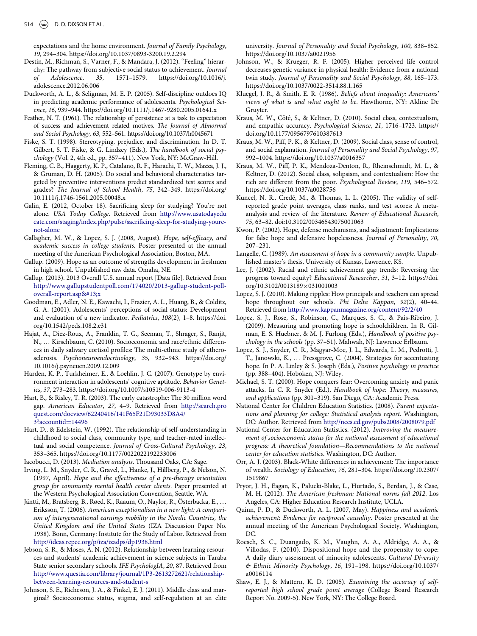expectations and the home environment. Journal of Family Psychology, 19, 294–304. https://doi.org[/10.1037/0893-3200.19.2.294](https://doi.org/10.1037/0893-3200.19.2.294)

- <span id="page-8-25"></span><span id="page-8-4"></span>Destin, M., Richman, S., Varner, F., & Mandara, J. (2012). "Feeling" hierarchy: The pathway from subjective social status to achievement. Journal of Adolescence, 35, 1571–1579. https://doi.org[/10.1016/j.](https://doi.org/10.1016/j.adolescence.2012.06.006) [adolescence.2012.06.006](https://doi.org/10.1016/j.adolescence.2012.06.006)
- <span id="page-8-29"></span><span id="page-8-9"></span>Duckworth, A. L., & Seligman, M. E. P. (2005). Self-discipline outdoes IQ in predicting academic performance of adolescents. Psychological Science, 16, 939–944. https://doi.org/[10.1111/j.1467-9280.2005.01641.x](https://doi.org/10.1111/j.1467-9280.2005.01641.x)
- <span id="page-8-34"></span><span id="page-8-28"></span>Feather, N. T. (1961). The relationship of persistence at a task to expectation of success and achievement related motives. The Journal of Abnormal and Social Psychology, 63, 552–561. https://doi.org/[10.1037/h0045671](https://doi.org/10.1037/h0045671)
- <span id="page-8-33"></span><span id="page-8-26"></span>Fiske, S. T. (1998). Stereotyping, prejudice, and discrimination. In D. T. Gilbert, S. T. Fiske, & G. Lindzey (Eds.), The handbook of social psychology (Vol. 2, 4th ed., pp. 357–411). New York, NY: McGraw-Hill.
- <span id="page-8-10"></span><span id="page-8-8"></span>Fleming, C. B., Haggerty, K. P., Catalano, R. F., Harachi, T. W., Mazza, J. J., & Gruman, D. H. (2005). Do social and behavioral characteristics targeted by preventive interventions predict standardized test scores and grades? The Journal of School Health, 75, 342–349. https://doi.org/ [10.1111/j.1746-1561.2005.00048.x](https://doi.org/10.1111/j.1746-1561.2005.00048.x)
- <span id="page-8-1"></span>Galin, E. (2012, October 18). Sacrificing sleep for studying? You're not alone. USA Today College. Retrieved from [http://www.usatodayedu](http://www.usatodayeducate.com/staging/index.php/pulse/sacrificing-sleep-for-studying-youre-not-alone) [cate.com/staging/index.php/pulse/sacri](http://www.usatodayeducate.com/staging/index.php/pulse/sacrificing-sleep-for-studying-youre-not-alone)ficing-sleep-for-studying-youre[not-alone](http://www.usatodayeducate.com/staging/index.php/pulse/sacrificing-sleep-for-studying-youre-not-alone)
- <span id="page-8-15"></span><span id="page-8-13"></span>Gallagher, M. W., & Lopez, S. J. (2008, August). Hope, self-efficacy, and academic success in college students. Poster presented at the annual meeting of the American Psychological Association, Boston, MA.
- <span id="page-8-36"></span><span id="page-8-19"></span><span id="page-8-12"></span>Gallup. (2009). Hope as an outcome of strengths development in freshmen in high school. Unpublished raw data. Omaha, NE.
- <span id="page-8-20"></span>Gallup. (2013). 2013 Overall U.S. annual report [Data file]. Retrieved from [http://www.gallupstudentpoll.com/174020/2013-gallup-student-poll](http://www.gallupstudentpoll.com/174020/2013-gallup-student-poll-overall-report.asp
x)[overall-report.asp
x](http://www.gallupstudentpoll.com/174020/2013-gallup-student-poll-overall-report.asp
x)
- <span id="page-8-31"></span><span id="page-8-22"></span><span id="page-8-17"></span>Goodman, E., Adler, N. E., Kawachi, I., Frazier, A. L., Huang, B., & Colditz, G. A. (2001). Adolescents' perceptions of social status: Development and evaluation of a new indicator. Pediatrics, 108(2), 1–8. https://doi. org/[10.1542/peds.108.2.e31](https://doi.org/10.1542/peds.108.2.e31)
- <span id="page-8-24"></span><span id="page-8-21"></span>Hajat, A., Diez-Roux, A., Franklin, T. G., Seeman, T., Shrager, S., Ranjit, N., … Kirschbaum, C. (2010). Socioeconomic and race/ethnic differences in daily salivary cortisol profiles: The multi-ethnic study of atherosclerosis. Psychoneuroendocrinology, 35, 932–943. https://doi.org/ [10.1016/j.psyneuen.2009.12.009](https://doi.org/10.1016/j.psyneuen.2009.12.009)
- <span id="page-8-30"></span><span id="page-8-16"></span>Harden, K. P., Turkheimer, E., & Loehlin, J. C. (2007). Genotype by environment interaction in adolescents' cognitive aptitude. Behavior Genetics, 37, 273–283. https://doi.org[/10.1007/s10519-006-9113-4](https://doi.org/10.1007/s10519-006-9113-4)
- <span id="page-8-7"></span><span id="page-8-0"></span>Hart, B., & Risley, T. R. (2003). The early catastrophe: The 30 million word gap. American Educator, 27, 4–9. Retrieved from [http://search.pro](http://search.proquest.com/docview/62240416/141F65F21D93033D8A4/3?accountid=14496) [quest.com/docview/62240416/141F65F21D93033D8A4/](http://search.proquest.com/docview/62240416/141F65F21D93033D8A4/3?accountid=14496) [3?accountid](http://search.proquest.com/docview/62240416/141F65F21D93033D8A4/3?accountid=14496)=[14496](http://search.proquest.com/docview/62240416/141F65F21D93033D8A4/3?accountid=14496)
- <span id="page-8-27"></span><span id="page-8-6"></span>Hart, D., & Edelstein, W. (1992). The relationship of self-understanding in childhood to social class, community type, and teacher-rated intellectual and social competence. Journal of Cross-Cultural Psychology, 23, 353–365. https://doi.org[/10.1177/0022022192233006](https://doi.org/10.1177/0022022192233006)
- <span id="page-8-32"></span><span id="page-8-3"></span>Iacobucci, D. (2013). Mediation analysis. Thousand Oaks, CA: Sage.
- <span id="page-8-14"></span><span id="page-8-2"></span>Irving, L. M., Snyder, C. R., Gravel, L., Hanke, J., Hillberg, P., & Nelson, N. (1997, April). Hope and the effectiveness of a pre-therapy orientation group for community mental health center clients. Paper presented at the Western Psychological Association Convention, Seattle, WA.
- <span id="page-8-35"></span><span id="page-8-11"></span>Jäntti, M., Bratsberg, B., Røed, K., Raaum, O., Naylor, R., Österbacka, E., ... Eriksson, T. (2006). American exceptionalism in a new light: A comparison of intergenerational earnings mobility in the Nordic Countries, the United Kingdom and the United States (IZA Discussion Paper No. 1938). Bonn, Germany: Institute for the Study of Labor. Retrieved from <http://ideas.repec.org/p/iza/izadps/dp1938.html>
- <span id="page-8-23"></span><span id="page-8-18"></span>Jebson, S. R., & Moses, A. N. (2012). Relationship between learning resources and students' academic achievement in science subjects in Taraba State senior secondary schools. IFE PsychologIA, 20, 87. Retrieved from [http://www.questia.com/library/journal/1P3-2613272621/relationship](http://www.questia.com/library/journal/1P3-2613272621/relationship-between-learning-resources-and-student-s)[between-learning-resources-and-student-s](http://www.questia.com/library/journal/1P3-2613272621/relationship-between-learning-resources-and-student-s)
- <span id="page-8-37"></span><span id="page-8-5"></span>Johnson, S. E., Richeson, J. A., & Finkel, E. J. (2011). Middle class and marginal? Socioeconomic status, stigma, and self-regulation at an elite

university. Journal of Personality and Social Psychology, 100, 838–852. https://doi.org[/10.1037/a0021956](https://doi.org/10.1037/a0021956)

- Johnson, W., & Krueger, R. F. (2005). Higher perceived life control decreases genetic variance in physical health: Evidence from a national twin study. Journal of Personality and Social Psychology, 88, 165–173. https://doi.org[/10.1037/0022-3514.88.1.165](https://doi.org/10.1037/0022-3514.88.1.165)
- Kluegel, J. R., & Smith, E. R. (1986). Beliefs about inequality: Americans' views of what is and what ought to be. Hawthorne, NY: Aldine De Gruyter.
- Kraus, M. W., Côté, S., & Keltner, D. (2010). Social class, contextualism, and empathic accuracy. Psychological Science, 21, 1716–1723. https:// doi.org/[10.1177/0956797610387613](https://doi.org/10.1177/0956797610387613)
- Kraus, M. W., Piff, P. K., & Keltner, D. (2009). Social class, sense of control, and social explanation. Journal of Personality and Social Psychology, 97, 992–1004. https://doi.org/[10.1037/a0016357](https://doi.org/10.1037/a0016357)
- Kraus, M. W., Piff, P. K., Mendoza-Denton, R., Rheinschmidt, M. L., & Keltner, D. (2012). Social class, solipsism, and contextualism: How the rich are different from the poor. Psychological Review, 119, 546–572. https://doi.org[/10.1037/a0028756](https://doi.org/10.1037/a0028756)
- Kuncel, N. R., Credé, M., & Thomas, L. L. (2005). The validity of selfreported grade point averages, class ranks, and test scores: A metaanalysis and review of the literature. Review of Educational Research, 75, 63–82. doi:[10.3102/00346543075001063](https://doi.org/10.3102/00346543075001063)
- Kwon, P. (2002). Hope, defense mechanisms, and adjustment: Implications for false hope and defensive hopelessness. Journal of Personality, 70, 207–231.
- Langelle, C. (1989). An assessment of hope in a community sample. Unpublished master's thesis, University of Kansas, Lawrence, KS.
- Lee, J. (2002). Racial and ethnic achievement gap trends: Reversing the progress toward equity? Educational Researcher, 31, 3–12. https://doi. org/[10.3102/0013189](https://doi.org/10.3102/0013189×031001003)×[031001003](https://doi.org/10.3102/0013189×031001003)
- Lopez, S. J. (2010). Making ripples: How principals and teachers can spread hope throughout our schools. Phi Delta Kappan, 92(2), 40–44. Retrieved from <http://www.kappanmagazine.org/content/92/2/40>
- Lopez, S. J., Rose, S., Robinson, C., Marques, S. C., & Pais-Ribeiro, J. (2009). Measuring and promoting hope is schoolchildren. In R. Gilman, E. S. Huebner, & M. J. Furlong (Eds.), Handbook of positive psychology in the schools (pp. 37–51). Mahwah, NJ: Lawrence Erlbaum.
- Lopez, S. J., Snyder, C. R., Magyar-Moe, J. L., Edwards, L. M., Pedrotti, J. T., Janowski, K., … Pressgrove, C. (2004). Strategies for accentuating hope. In P. A. Linley & S. Joseph (Eds.), Positive psychology in practice (pp. 388–404). Hoboken, NJ: Wiley.
- Michael, S. T. (2000). Hope conquers fear: Overcoming anxiety and panic attacks. In C. R. Snyder (Ed.), Handbook of hope: Theory, measures, and applications (pp. 301–319). San Diego, CA: Academic Press.
- National Center for Children Education Statistics. (2008). Parent expectations and planning for college: Statistical analysis report. Washington, DC: Author. Retrieved from <http://nces.ed.gov/pubs2008/2008079.pdf>
- National Center for Education Statistics. (2012). Improving the measurement of socioeconomic status for the national assessment of educational progress: A theoretical foundation—Recommendations to the national center for education statistics. Washington, DC: Author.
- Orr, A. J. (2003). Black-White differences in achievement: The importance of wealth. Sociology of Education, 76, 281–304. https://doi.org[/10.2307/](https://doi.org/10.2307/1519867) [1519867](https://doi.org/10.2307/1519867)
- Pryor, J. H., Eagan, K., Palucki-Blake, L., Hurtado, S., Berdan, J., & Case, M. H. (2012). The American freshman: National norms fall 2012. Los Angeles, CA: Higher Education Research Institute, UCLA.
- Quinn, P. D., & Duckworth, A. L. (2007, May). Happiness and academic achievement: Evidence for reciprocal causality. Poster presented at the annual meeting of the American Psychological Society, Washington, DC.
- Roesch, S. C., Duangado, K. M., Vaughn, A. A., Aldridge, A. A., & Villodas, F. (2010). Dispositional hope and the propensity to cope: A daily diary assessment of minority adolescents. Cultural Diversity & Ethnic Minority Psychology, 16, 191–198. https://doi.org/[10.1037/](https://doi.org/10.1037/a0016114) [a0016114](https://doi.org/10.1037/a0016114)
- Shaw, E. J., & Mattern, K. D. (2005). Examining the accuracy of selfreported high school grade point average (College Board Research Report No. 2009-5). New York, NY: The College Board.